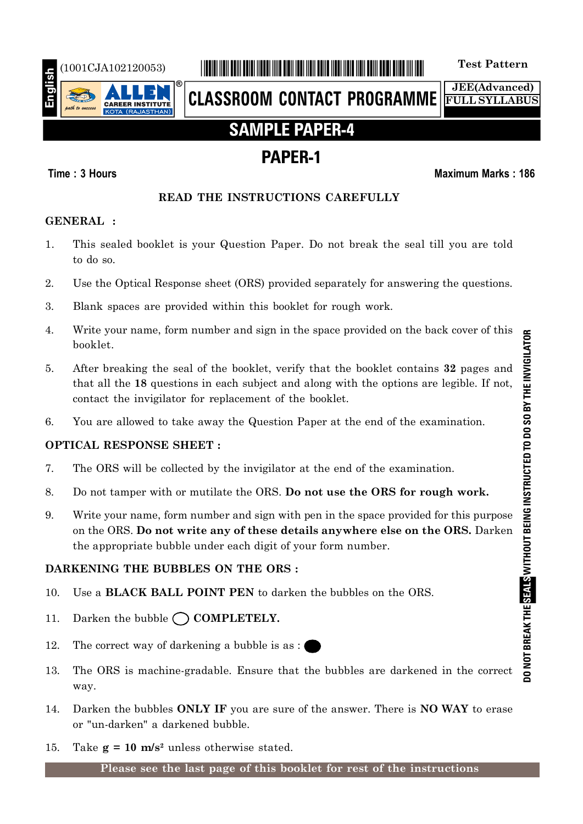

# (1001CJA102120053) \*1001CJA102120053\* **Test Pattern**

**CLASSROOM CONTACT PROGRAMME**

**JEE(Advanced) FULL SYLLABUS**

# **SAMPLE PAPER-4**

# **PAPER-1**

## **Time : 3 Hours Maximum Marks : 186**

## **READ THE INSTRUCTIONS CAREFULLY**

## **GENERAL :**

- 1. This sealed booklet is your Question Paper. Do not break the seal till you are told to do so.
- 2. Use the Optical Response sheet (ORS) provided separately for answering the questions.
- 3. Blank spaces are provided within this booklet for rough work.
- 4. Write your name, form number and sign in the space provided on the back cover of this booklet.
- 5. After breaking the seal of the booklet, verify that the booklet contains **32** pages and that all the **18** questions in each subject and along with the options are legible. If not, contact the invigilator for replacement of the booklet.
- 6. You are allowed to take away the Question Paper at the end of the examination.

# **OPTICAL RESPONSE SHEET :**

- 7. The ORS will be collected by the invigilator at the end of the examination.
- 8. Do not tamper with or mutilate the ORS. **Do not use the ORS for rough work.**
- 9. Write your name, form number and sign with pen in the space provided for this purpose on the ORS. **Do not write any of these details anywhere else on the ORS.** Darken the appropriate bubble under each digit of your form number.

# **DARKENING THE BUBBLES ON THE ORS :**

- 10. Use a **BLACK BALL POINT PEN** to darken the bubbles on the ORS.
- 11. Darken the bubble  $\bigcap$  **COMPLETELY.**
- 12. The correct way of darkening a bubble is as :
- 13. The ORS is machine-gradable. Ensure that the bubbles are darkened in the correct way.
- 14. Darken the bubbles **ONLY IF** you are sure of the answer. There is **NO WAY** to erase or "un-darken" a darkened bubble.
- 15. Take  $g = 10$  m/s<sup>2</sup> unless otherwise stated.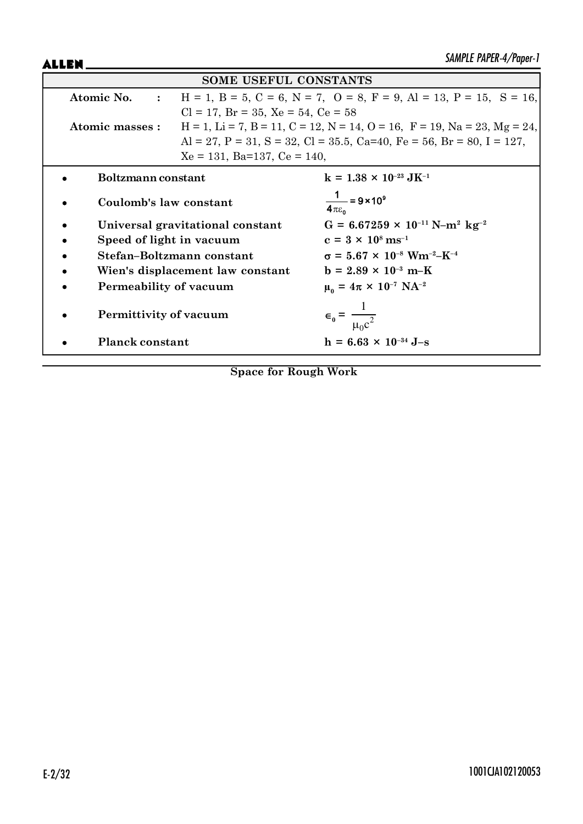ALLEN\_

| <b>SOME USEFUL CONSTANTS</b>                  |                                                                                                               |                                                                                                     |  |  |
|-----------------------------------------------|---------------------------------------------------------------------------------------------------------------|-----------------------------------------------------------------------------------------------------|--|--|
|                                               | $H = 1$ , $B = 5$ , $C = 6$ , $N = 7$ , $O = 8$ , $F = 9$ , $Al = 13$ , $P = 15$ , $S = 16$ ,<br>Atomic No. : |                                                                                                     |  |  |
| $Cl = 17$ , $Br = 35$ , $Xe = 54$ , $Ce = 58$ |                                                                                                               |                                                                                                     |  |  |
| Atomic masses :                               |                                                                                                               | $H = 1$ , $Li = 7$ , $B = 11$ , $C = 12$ , $N = 14$ , $O = 16$ , $F = 19$ , $Na = 23$ , $Mg = 24$ , |  |  |
|                                               |                                                                                                               | Al = 27, P = 31, S = 32, Cl = 35.5, Ca=40, Fe = 56, Br = 80, I = 127,                               |  |  |
|                                               | $Xe = 131$ , Ba=137, Ce = 140,                                                                                |                                                                                                     |  |  |
| Boltzmann constant                            |                                                                                                               | $k = 1.38 \times 10^{-23} \text{ J} \text{K}^{-1}$                                                  |  |  |
| Coulomb's law constant                        |                                                                                                               | $\frac{1}{4\pi\epsilon_0}$ = 9 × 10 <sup>9</sup>                                                    |  |  |
| Universal gravitational constant              |                                                                                                               | $G = 6.67259 \times 10^{-11} \text{ N} - \text{m}^2 \text{ kg}^{-2}$                                |  |  |
| Speed of light in vacuum                      |                                                                                                               | $c = 3 \times 10^8 \text{ ms}^{-1}$                                                                 |  |  |
|                                               | Stefan-Boltzmann constant                                                                                     | $\sigma = 5.67 \times 10^{-8}$ Wm <sup>-2</sup> -K <sup>-4</sup>                                    |  |  |
|                                               | Wien's displacement law constant                                                                              | $b = 2.89 \times 10^{-3} \text{ m-K}$                                                               |  |  |
| Permeability of vacuum                        |                                                                                                               | $\mu_0 = 4\pi \times 10^{-7} \text{ NA}^{-2}$                                                       |  |  |
| Permittivity of vacuum                        |                                                                                                               | $\epsilon_0 = \frac{1}{\mu_0 c^2}$                                                                  |  |  |
| <b>Planck constant</b>                        |                                                                                                               | $h = 6.63 \times 10^{-34}$ J-s                                                                      |  |  |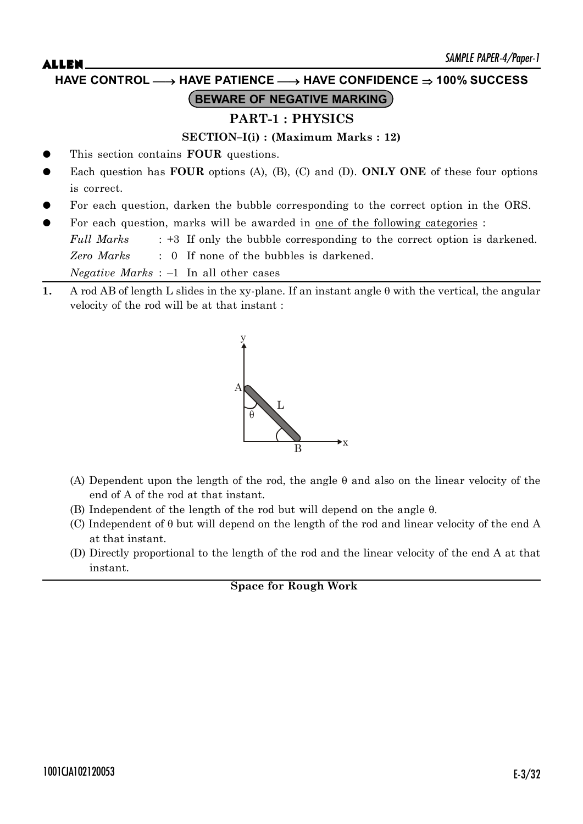# $ALLEN$   $\qquad \qquad$   $\qquad \qquad$   $\qquad \qquad$   $\qquad \qquad$   $\qquad \qquad$   $\qquad \qquad$   $\qquad \qquad$   $\qquad \qquad$   $\qquad \qquad$   $\qquad \qquad$   $\qquad \qquad$   $\qquad \qquad$   $\qquad \qquad$   $\qquad \qquad$   $\qquad \qquad$   $\qquad \qquad$   $\qquad \qquad$   $\qquad \qquad$   $\qquad \qquad$   $\qquad \qquad$   $\qquad \qquad$   $\qquad \qquad$   $\qquad \qquad$   $\qquad \qquad$  **PART-1 : PHYSICS SECTION–I(i) : (Maximum Marks : 12)** This section contains **FOUR** questions. Each question has **FOUR** options (A), (B), (C) and (D). **ONLY ONE** of these four options is correct. **BEWARE OF NEGATIVE MARKING HAVE CONTROL** o **HAVE PATIENCE** o **HAVE CONFIDENCE 100% SUCCESS**

- For each question, darken the bubble corresponding to the correct option in the ORS.
- For each question, marks will be awarded in <u>one of the following categories</u> :

*Full Marks* : +3 If only the bubble corresponding to the correct option is darkened. *Zero Marks* : 0 If none of the bubbles is darkened.

*Negative Marks* : –1 In all other cases

**1.** A rod AB of length L slides in the xy-plane. If an instant angle  $\theta$  with the vertical, the angular velocity of the rod will be at that instant :



- (A) Dependent upon the length of the rod, the angle  $\theta$  and also on the linear velocity of the end of A of the rod at that instant.
- (B) Independent of the length of the rod but will depend on the angle  $\theta$ .
- (C) Independent of  $\theta$  but will depend on the length of the rod and linear velocity of the end A at that instant.
- (D) Directly proportional to the length of the rod and the linear velocity of the end A at that instant.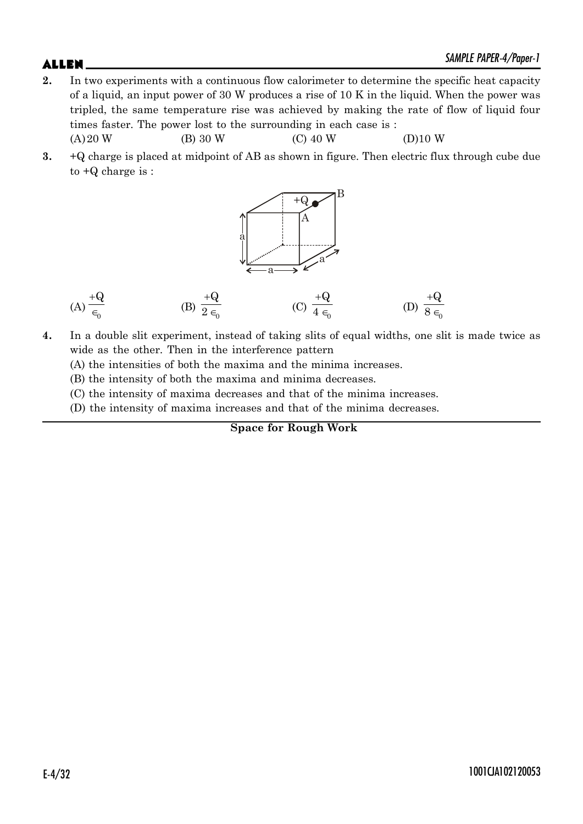- **2.** In two experiments with a continuous flow calorimeter to determine the specific heat capacity of a liquid, an input power of 30 W produces a rise of 10 K in the liquid. When the power was tripled, the same temperature rise was achieved by making the rate of flow of liquid four times faster. The power lost to the surrounding in each case is :  $(A) 20 W$  (B) 30 W (C) 40 W (D)10 W
- **3.** +Q charge is placed at midpoint of AB as shown in figure. Then electric flux through cube due to +Q charge is :



(A) 
$$
\frac{+Q}{\epsilon_0}
$$
 \t\t (B)  $\frac{+Q}{2\epsilon_0}$  \t\t (C)  $\frac{+Q}{4\epsilon_0}$  \t\t (D)  $\frac{+Q}{8\epsilon_0}$ 

**4.** In a double slit experiment, instead of taking slits of equal widths, one slit is made twice as wide as the other. Then in the interference pattern

(A) the intensities of both the maxima and the minima increases.

(B) the intensity of both the maxima and minima decreases.

(C) the intensity of maxima decreases and that of the minima increases.

(D) the intensity of maxima increases and that of the minima decreases.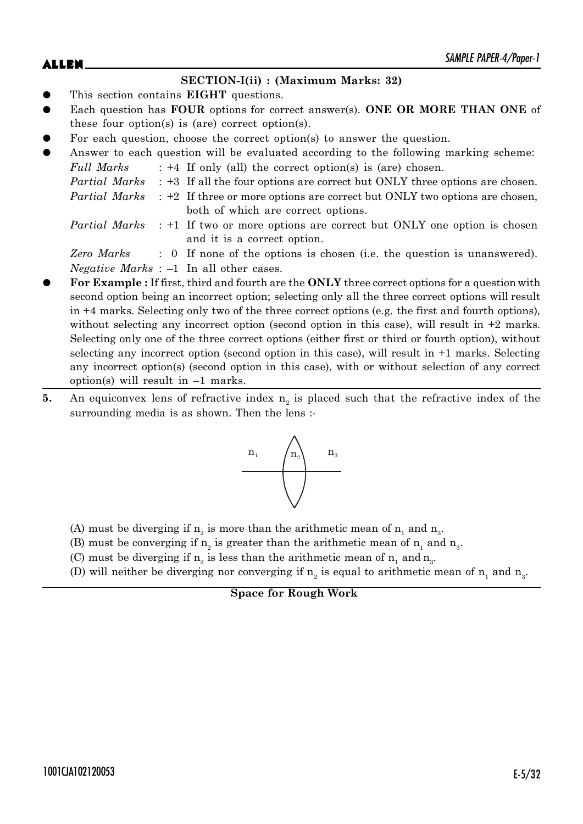# $ALLEN$   $\qquad \qquad$   $\qquad \qquad$   $\qquad \qquad$   $\qquad \qquad$   $\qquad \qquad$   $\qquad \qquad$   $\qquad \qquad$   $\qquad \qquad$   $\qquad \qquad$   $\qquad \qquad$   $\qquad \qquad$   $\qquad \qquad$   $\qquad \qquad$   $\qquad \qquad$   $\qquad \qquad$   $\qquad \qquad$   $\qquad \qquad$   $\qquad \qquad$   $\qquad \qquad$   $\qquad \qquad$   $\qquad \qquad$   $\qquad \qquad$   $\qquad \qquad$   $\qquad \qquad$

## **SECTION-I(ii) : (Maximum Marks: 32)**

- This section contains **EIGHT** questions.
- Each question has **FOUR** options for correct answer(s). **ONE OR MORE THAN ONE** of these four option(s) is (are) correct option(s).
- For each question, choose the correct option(s) to answer the question.
- Answer to each question will be evaluated according to the following marking scheme:  $F_u ll$  Marks  $\cdot$  +4 If only (all) the correct option(s) is (are) chosen.

| ruu marks | $\pm$ $\pm$ 11 only (all) the correct option(s) is (are) chosen.                                 |
|-----------|--------------------------------------------------------------------------------------------------|
|           | <i>Partial Marks</i> : +3 If all the four options are correct but ONLY three options are chosen. |
|           | <i>Partial Marks</i> : +2 If three or more options are correct but ONLY two options are chosen,  |
|           | both of which are correct options.                                                               |
|           | <i>Partial Marbe</i> $\cdot$ +1 If two or more options are correct but ONIV one option is chosen |

or more options are correct but ONLY one option is chosen and it is a correct option.

*Zero Marks* : 0 If none of the options is chosen (i.e. the question is unanswered). *Negative Marks* : –1 In all other cases.

- z **For Example :** If first, third and fourth are the **ONLY** three correct options for a question with second option being an incorrect option; selecting only all the three correct options will result in +4 marks. Selecting only two of the three correct options (e.g. the first and fourth options), without selecting any incorrect option (second option in this case), will result in  $+2$  marks. Selecting only one of the three correct options (either first or third or fourth option), without selecting any incorrect option (second option in this case), will result in +1 marks. Selecting any incorrect option(s) (second option in this case), with or without selection of any correct option(s) will result in  $-1$  marks.
- **5.** An equiconvex lens of refractive index  $n_2$  is placed such that the refractive index of the surrounding media is as shown. Then the lens :-



- (A) must be diverging if  $n_2$  is more than the arithmetic mean of  $n_1$  and  $n_3$ .
- (B) must be converging if  $n_2$  is greater than the arithmetic mean of  $n_1$  and  $n_3$ .
- (C) must be diverging if  $n_2$  is less than the arithmetic mean of  $n_1$  and  $n_3$ .
- (D) will neither be diverging nor converging if  $n_2$  is equal to arithmetic mean of  $n_1$  and  $n_3$ .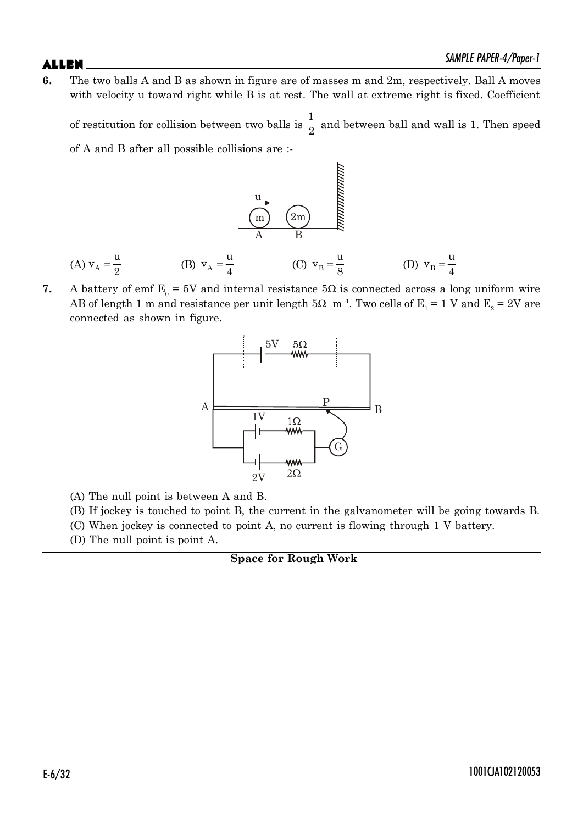**6.** The two balls A and B as shown in figure are of masses m and 2m, respectively. Ball A moves with velocity u toward right while B is at rest. The wall at extreme right is fixed. Coefficient

of restitution for collision between two balls is 1  $\frac{1}{2}$  and between ball and wall is 1. Then speed of A and B after all possible collisions are :-

(A) 
$$
v_A = \frac{u}{2}
$$
 (B)  $v_A = \frac{u}{4}$  (C)  $v_B = \frac{u}{8}$  (D)  $v_B = \frac{u}{4}$ 

**7.** A battery of emf  $E_0 = 5V$  and internal resistance  $5\Omega$  is connected across a long uniform wire AB of length 1 m and resistance per unit length 5 $\Omega$  m<sup>-1</sup>. Two cells of E<sub>1</sub> = 1 V and E<sub>2</sub> = 2V are connected as shown in figure.



- (A) The null point is between A and B.
- (B) If jockey is touched to point B, the current in the galvanometer will be going towards B.
- (C) When jockey is connected to point A, no current is flowing through 1 V battery.
- (D) The null point is point A.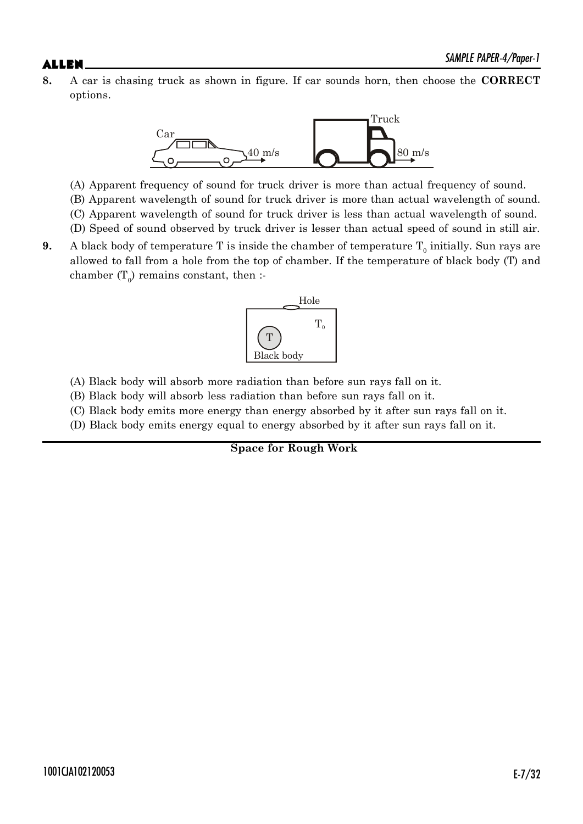**8.** A car is chasing truck as shown in figure. If car sounds horn, then choose the **CORRECT** options.



(A) Apparent frequency of sound for truck driver is more than actual frequency of sound.

- (B) Apparent wavelength of sound for truck driver is more than actual wavelength of sound.
- (C) Apparent wavelength of sound for truck driver is less than actual wavelength of sound.
- (D) Speed of sound observed by truck driver is lesser than actual speed of sound in still air.
- **9.** A black body of temperature T is inside the chamber of temperature  $T_0$  initially. Sun rays are allowed to fall from a hole from the top of chamber. If the temperature of black body (T) and chamber  $(T_0)$  remains constant, then :-



- (A) Black body will absorb more radiation than before sun rays fall on it.
- (B) Black body will absorb less radiation than before sun rays fall on it.
- (C) Black body emits more energy than energy absorbed by it after sun rays fall on it.
- (D) Black body emits energy equal to energy absorbed by it after sun rays fall on it.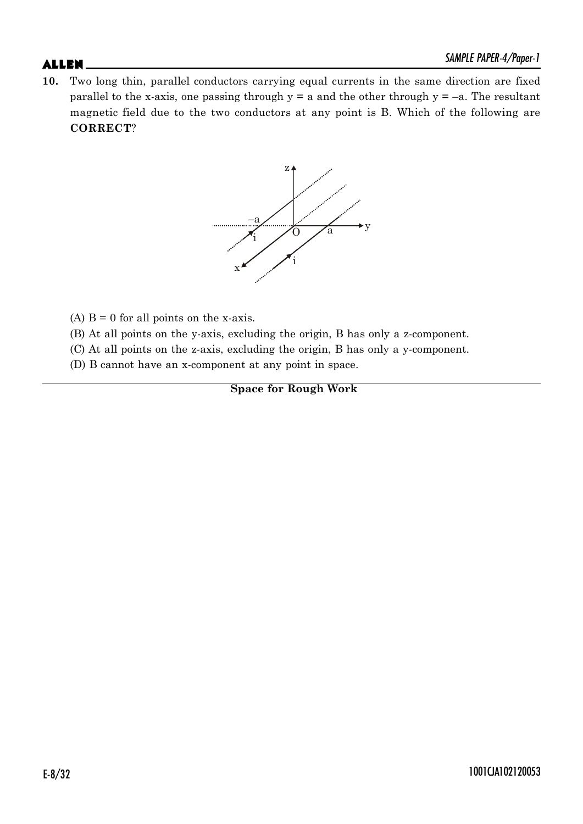**10.** Two long thin, parallel conductors carrying equal currents in the same direction are fixed parallel to the x-axis, one passing through  $y = a$  and the other through  $y = -a$ . The resultant magnetic field due to the two conductors at any point is B. Which of the following are **CORRECT**?



- (A)  $B = 0$  for all points on the x-axis.
- (B) At all points on the y-axis, excluding the origin, B has only a z-component.
- (C) At all points on the z-axis, excluding the origin, B has only a y-component.
- (D) B cannot have an x-component at any point in space.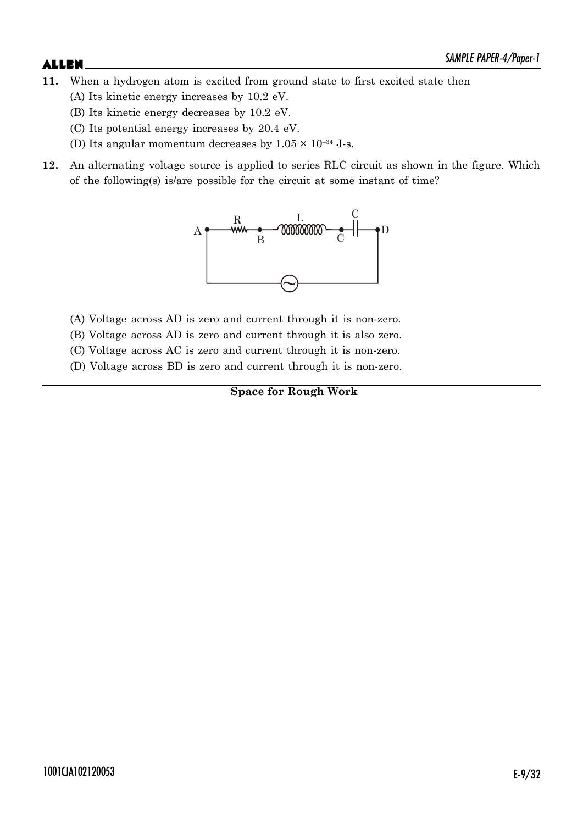- **11.** When a hydrogen atom is excited from ground state to first excited state then
	- (A) Its kinetic energy increases by 10.2 eV.
	- (B) Its kinetic energy decreases by 10.2 eV.
	- (C) Its potential energy increases by 20.4 eV.
	- (D) Its angular momentum decreases by  $1.05 \times 10^{-34}$  J-s.
- **12.** An alternating voltage source is applied to series RLC circuit as shown in the figure. Which of the following(s) is/are possible for the circuit at some instant of time?



- (A) Voltage across AD is zero and current through it is non-zero.
- (B) Voltage across AD is zero and current through it is also zero.
- (C) Voltage across AC is zero and current through it is non-zero.
- (D) Voltage across BD is zero and current through it is non-zero.

**Space for Rough Work**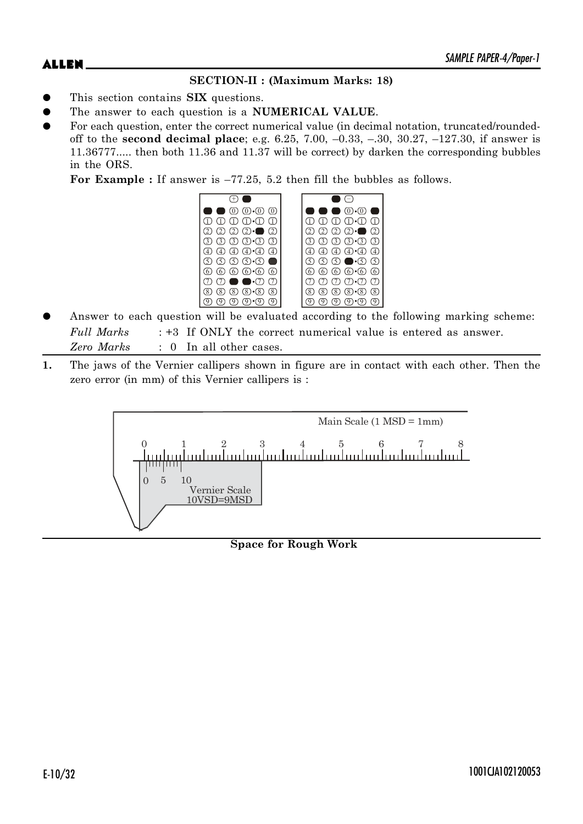# $ALLEN$   $\sum_{M|N|L}$   $PAPEN-4$ / $PQPE-I$

## **SECTION-II : (Maximum Marks: 18)**

- This section contains **SIX** questions.
- The answer to each question is a **NUMERICAL VALUE**.
- For each question, enter the correct numerical value (in decimal notation, truncated/roundedoff to the **second decimal place**; e.g. 6.25, 7.00, –0.33, –.30, 30.27, –127.30, if answer is 11.36777..... then both 11.36 and 11.37 will be correct) by darken the corresponding bubbles in the ORS.

**For Example :** If answer is –77.25, 5.2 then fill the bubbles as follows.



- Answer to each question will be evaluated according to the following marking scheme: *Full Marks* : +3 If ONLY the correct numerical value is entered as answer. *Zero Marks* : 0 In all other cases.
- **1.** The jaws of the Vernier callipers shown in figure are in contact with each other. Then the zero error (in mm) of this Vernier callipers is :

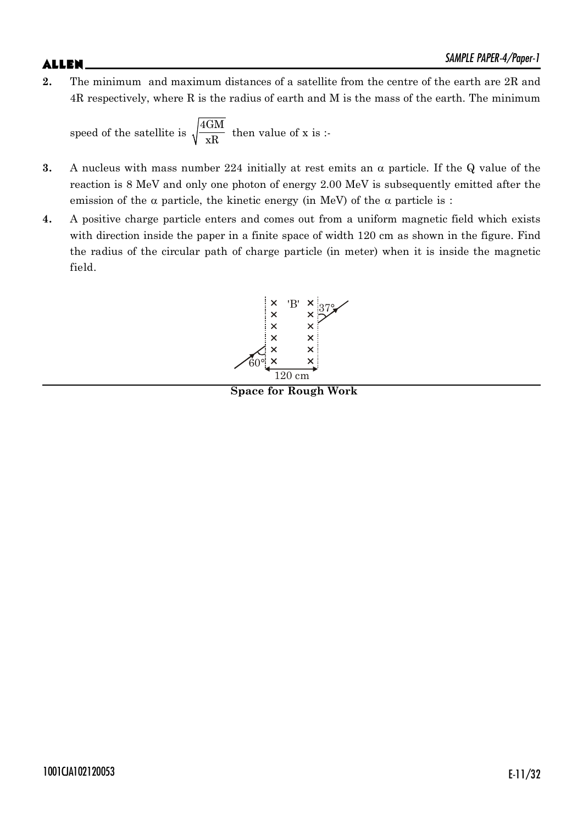# $ALLEN$   $\qquad \qquad$   $\qquad \qquad$   $\qquad \qquad$   $\qquad \qquad$   $\qquad \qquad$   $\qquad \qquad$   $\qquad \qquad$   $\qquad \qquad$   $\qquad \qquad$   $\qquad \qquad$   $\qquad \qquad$   $\qquad \qquad$   $\qquad \qquad$   $\qquad \qquad$   $\qquad \qquad$   $\qquad \qquad$   $\qquad \qquad$   $\qquad \qquad$   $\qquad \qquad$   $\qquad \qquad$   $\qquad \qquad$   $\qquad \qquad$   $\qquad \qquad$   $\qquad \qquad$

**2.** The minimum and maximum distances of a satellite from the centre of the earth are 2R and 4R respectively, where R is the radius of earth and M is the mass of the earth. The minimum

speed of the satellite is  $\sqrt{\frac{4GM}{xR}}$  then value of x is :-

- **3.** A nucleus with mass number 224 initially at rest emits an  $\alpha$  particle. If the Q value of the reaction is 8 MeV and only one photon of energy 2.00 MeV is subsequently emitted after the emission of the  $\alpha$  particle, the kinetic energy (in MeV) of the  $\alpha$  particle is :
- **4.** A positive charge particle enters and comes out from a uniform magnetic field which exists with direction inside the paper in a finite space of width 120 cm as shown in the figure. Find the radius of the circular path of charge particle (in meter) when it is inside the magnetic field.



**Space for Rough Work**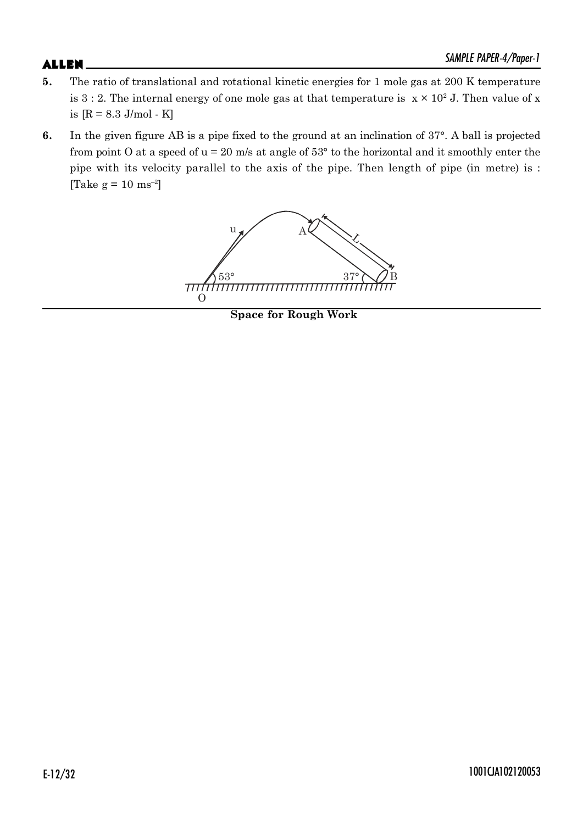- **5.** The ratio of translational and rotational kinetic energies for 1 mole gas at 200 K temperature is 3 : 2. The internal energy of one mole gas at that temperature is  $x \times 10^2$  J. Then value of x is  $[R = 8.3$  J/mol - K]
- **6.** In the given figure AB is a pipe fixed to the ground at an inclination of 37°. A ball is projected from point O at a speed of  $u = 20$  m/s at angle of  $53^{\circ}$  to the horizontal and it smoothly enter the pipe with its velocity parallel to the axis of the pipe. Then length of pipe (in metre) is : [Take  $g = 10$  ms<sup>-2</sup>]



**Space for Rough Work**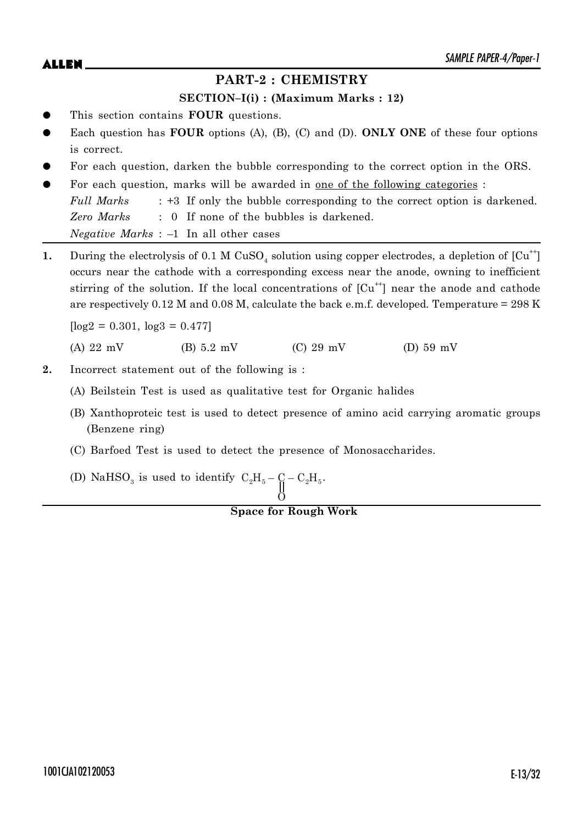## **PART-2 : CHEMISTRY**

### **SECTION–I(i) : (Maximum Marks : 12)**

- This section contains **FOUR** questions.
- Each question has **FOUR** options (A), (B), (C) and (D). **ONLY ONE** of these four options is correct.
- For each question, darken the bubble corresponding to the correct option in the ORS.
- For each question, marks will be awarded in one of the following categories : *Full Marks* : +3 If only the bubble corresponding to the correct option is darkened. *Zero Marks* : 0 If none of the bubbles is darkened.

*Negative Marks* : –1 In all other cases

1. During the electrolysis of 0.1 M CuSO<sub>4</sub> solution using copper electrodes, a depletion of [Cu<sup>++</sup>] occurs near the cathode with a corresponding excess near the anode, owning to inefficient stirring of the solution. If the local concentrations of  $\lceil Cu^{+} \rceil$  near the anode and cathode are respectively 0.12 M and 0.08 M, calculate the back e.m.f. developed. Temperature = 298 K

 $\log_2 = 0.301$ ,  $\log_3 = 0.477$ 

(A) 22 mV (B) 5.2 mV (C) 29 mV (D) 59 mV

- **2.** Incorrect statement out of the following is :
	- (A) Beilstein Test is used as qualitative test for Organic halides
	- (B) Xanthoproteic test is used to detect presence of amino acid carrying aromatic groups (Benzene ring)
	- (C) Barfoed Test is used to detect the presence of Monosaccharides.
	- (D) NaHSO<sub>3</sub> is used to identify  $C_2H_5 C_1 C_2H_5$ .

# **Space for Rough Work**

O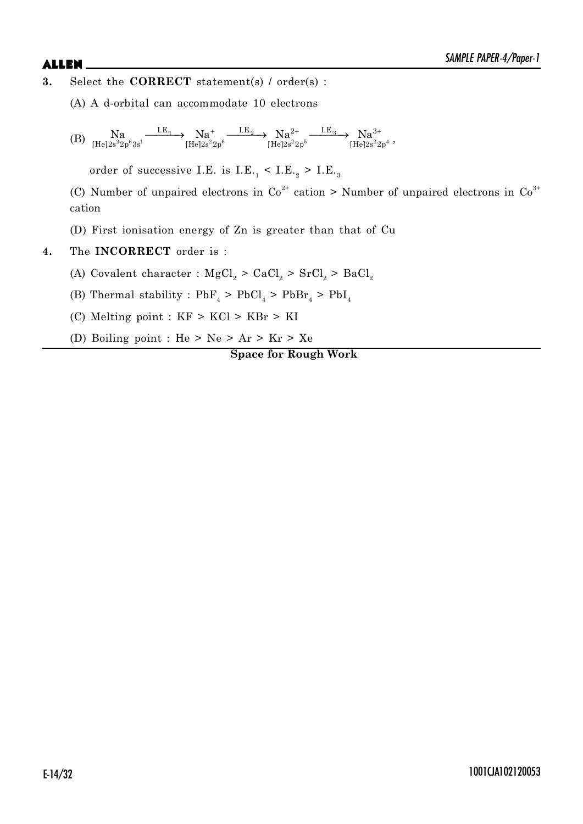- **3.** Select the **CORRECT** statement(s) / order(s) :
	- (A) A d-orbital can accommodate 10 electrons
	- $(B)$   $\text{Na} \xrightarrow{\text{Rg}} \text{Na} \xrightarrow{\text{Rg}-1} \text{Na}^+ \xrightarrow{\text{Rg}-1} \text{Na}^+ \xrightarrow{\text{Rg}-2} \text{Na}^{2+} \xrightarrow{\text{Rg}-1} \text{Na}^{3+} \text{Na}^{3+}$  $\text{LE}_1$   $\text{N}_0$   $\text{LE}_2$   $\text{N}_0$   $\text{2+}$   $\text{LE}_3$   $\text{N}_0$   $\text{3}$  $[\text{He}]2\text{s}^22\text{p}^63\text{s}^1$   $[\text{He}]2\text{s}^22\text{p}^6$   $[\text{He}]2\text{s}^22\text{p}^5$   $[\text{He}]2\text{s}^22\text{p}^5$  $\text{Na} \xrightarrow{\text{LE}_1} \text{Na}^+ \xrightarrow{\text{LE}_2} \text{Na}^+ \xrightarrow{\text{LE}_2} \text{Na}^{2+} \xrightarrow{\text{LE}_3} \text{Na}^{3+}$

order of successive I.E. is  $I.E._1 < I.E._2 > I.E._3$ 

(C) Number of unpaired electrons in  $Co<sup>2+</sup>$  cation > Number of unpaired electrons in  $Co<sup>3+</sup>$ cation

- (D) First ionisation energy of Zn is greater than that of Cu
- **4.** The **INCORRECT** order is :
	- (A) Covalent character :  ${MgCl}_2 > CaCl_2 > SrCl_2 > BaCl_2$
	- (B) Thermal stability :  $PbF_4 > PbCl_4 > PbBr_4 > PbI_4$
	- (C) Melting point : KF > KCl > KBr > KI
	- (D) Boiling point : He > Ne > Ar > Kr > Xe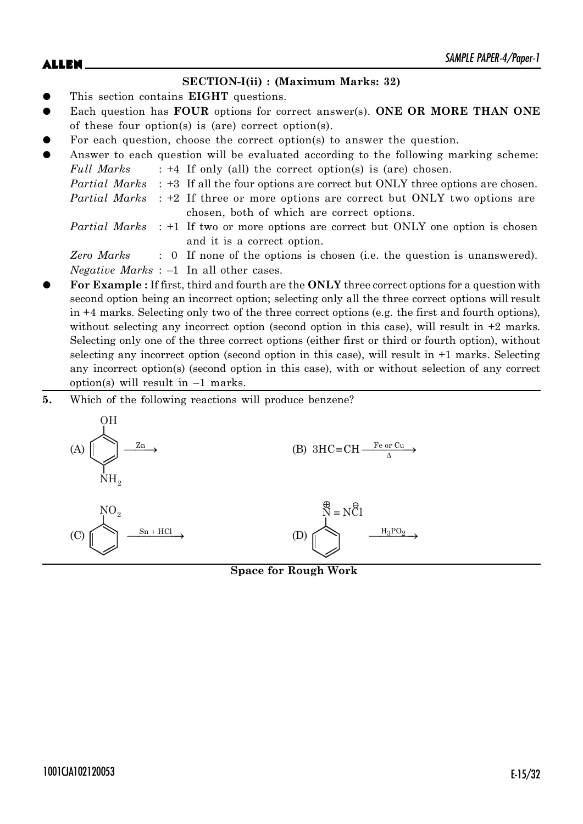# $ALLEN$   $\qquad \qquad$   $\qquad \qquad$   $\qquad \qquad$   $\qquad \qquad$   $\qquad \qquad$   $\qquad \qquad$   $\qquad \qquad$   $\qquad \qquad$   $\qquad \qquad$   $\qquad \qquad$   $\qquad \qquad$   $\qquad \qquad$   $\qquad \qquad$   $\qquad \qquad$   $\qquad \qquad$   $\qquad \qquad$   $\qquad \qquad$   $\qquad \qquad$   $\qquad \qquad$   $\qquad \qquad$   $\qquad \qquad$   $\qquad \qquad$   $\qquad \qquad$   $\qquad \qquad$

### **SECTION-I(ii) : (Maximum Marks: 32)**

- This section contains **EIGHT** questions.
- Each question has **FOUR** options for correct answer(s). **ONE OR MORE THAN ONE** of these four option(s) is (are) correct option(s).
- For each question, choose the correct option(s) to answer the question.

| $\bullet$ |  | Answer to each question will be evaluated according to the following marking scheme:             |
|-----------|--|--------------------------------------------------------------------------------------------------|
|           |  | <i>Full Marks</i> : +4 If only (all) the correct option(s) is (are) chosen.                      |
|           |  | <i>Partial Marks</i> : +3 If all the four options are correct but ONLY three options are chosen. |
|           |  | <i>Partial Marks</i> : +2 If three or more options are correct but ONLY two options are          |
|           |  | chosen, both of which are correct options.                                                       |
|           |  | <i>Partial Marks</i> : +1 If two or more options are correct but ONLY one option is chosen       |
|           |  | and it is a correct option.                                                                      |

*Zero Marks* : 0 If none of the options is chosen (i.e. the question is unanswered). *Negative Marks* : –1 In all other cases.

- z **For Example :** If first, third and fourth are the **ONLY** three correct options for a question with second option being an incorrect option; selecting only all the three correct options will result in +4 marks. Selecting only two of the three correct options (e.g. the first and fourth options), without selecting any incorrect option (second option in this case), will result in  $+2$  marks. Selecting only one of the three correct options (either first or third or fourth option), without selecting any incorrect option (second option in this case), will result in +1 marks. Selecting any incorrect option(s) (second option in this case), with or without selection of any correct option(s) will result in  $-1$  marks.
- **5.** Which of the following reactions will produce benzene?



**Space for Rough Work**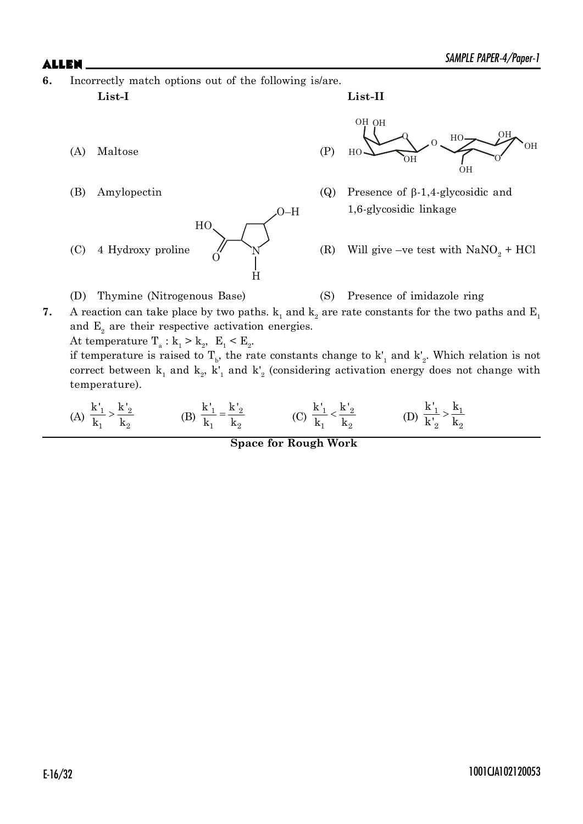**6.** Incorrectly match options out of the following is/are.

**List-I List-II**

(A) Maltose (P)





- (B) Amylopectin (Q) Presence of  $\beta$ -1,4-glycosidic and 1,6-glycosidic linkage
	- (R) Will give –ve test with  $\text{NaNO}_2 + \text{HCl}$
- (D) Thymine (Nitrogenous Base) (S) Presence of imidazole ring
- **7.** A reaction can take place by two paths.  $k_1$  and  $k_2$  are rate constants for the two paths and  $E_1$ and  $E<sub>2</sub>$  are their respective activation energies.

At temperature  $T_a: k_1 > k_2$ ,  $E_1 < E_2$ .

if temperature is raised to  $T_b$ , the rate constants change to  $k'_1$  and  $k'_2$ . Which relation is not correct between  $k_1$  and  $k_2$ ,  $k'_1$  and  $k'_2$  (considering activation energy does not change with temperature).

(A) 
$$
\frac{k'_1}{k_1} > \frac{k'_2}{k_2}
$$
 (B)  $\frac{k'_1}{k_1} = \frac{k'_2}{k_2}$  (C)  $\frac{k'_1}{k_1} < \frac{k'_2}{k_2}$  (D)  $\frac{k'_1}{k'_2} > \frac{k_1}{k_2}$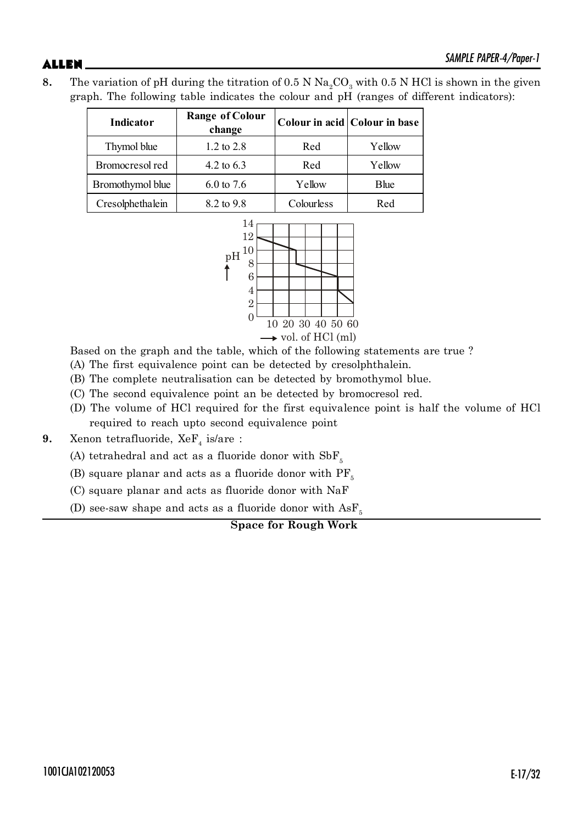**8.** The variation of pH during the titration of 0.5 N  $\text{Na}_2\text{CO}_3$  with 0.5 N HCl is shown in the given graph. The following table indicates the colour and pH (ranges of different indicators):

| Indicator        | <b>Range of Colour</b><br>change |            | Colour in acid Colour in base |  |
|------------------|----------------------------------|------------|-------------------------------|--|
| Thymol blue      | 1.2 to $2.8$                     | Red        | Yellow                        |  |
| Bromocresol red  | 4.2 to $6.3$                     | Red        | Yellow                        |  |
| Bromothymol blue | $6.0 \text{ to } 7.6$            | Yellow     | <b>B</b> lue                  |  |
| Cresolphethalein | 8.2 to 9.8                       | Colourless | Red                           |  |



Based on the graph and the table, which of the following statements are true ?

(A) The first equivalence point can be detected by cresolphthalein.

(B) The complete neutralisation can be detected by bromothymol blue.

(C) The second equivalence point an be detected by bromocresol red.

(D) The volume of HCl required for the first equivalence point is half the volume of HCl required to reach upto second equivalence point

**9.** Xenon tetrafluoride,  $XeF_4$  is/are :

(A) tetrahedral and act as a fluoride donor with  $SbF_5$ 

(B) square planar and acts as a fluoride donor with  $PF_{5}$ 

(C) square planar and acts as fluoride donor with NaF

(D) see-saw shape and acts as a fluoride donor with  $\text{AsF}_{5}$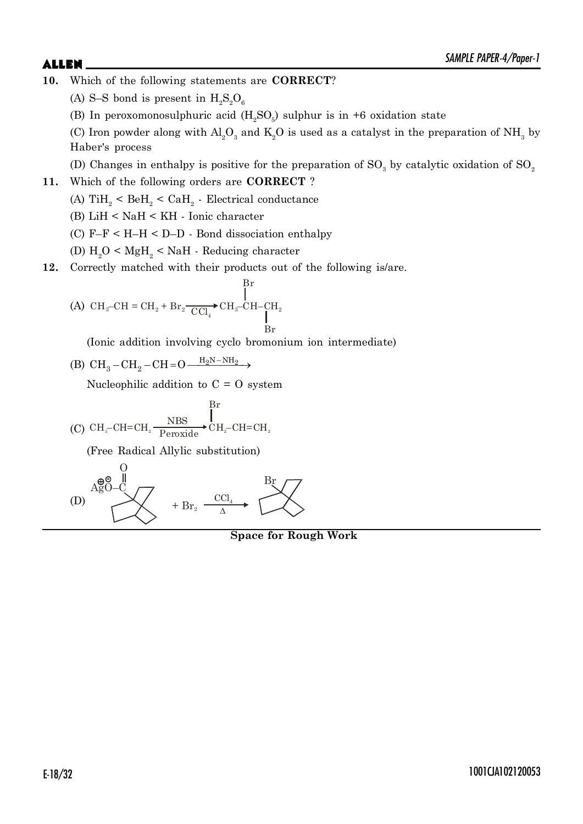- **10.** Which of the following statements are **CORRECT**?
	- (A) S-S bond is present in  $H_2S_2O_6$
	- (B) In peroxomonosulphuric acid  $(H_2SO_5)$  sulphur is in +6 oxidation state
	- (C) Iron powder along with  $\text{Al}_2\text{O}_3$  and  $\text{K}_2\text{O}$  is used as a catalyst in the preparation of  $\text{NH}_3$  by Haber's process
	- (D) Changes in enthalpy is positive for the preparation of  $\text{SO}_3$  by catalytic oxidation of  $\text{SO}_2$
- **11.** Which of the following orders are **CORRECT** ?
	- (A)  $\mathrm{TiH}_{2}$  <  $\mathrm{BeH}_{2}$  <  $\mathrm{CaH}_{2}$  Electrical conductance
	- (B) LiH < NaH < KH Ionic character
	- (C) F–F < H–H < D–D Bond dissociation enthalpy
	- (D)  $\rm H_2O < MgH_2 < NaH$  Reducing character
- **12.** Correctly matched with their products out of the following is/are.

$$
\text{(A)}\ \text{CH}_{3}\text{-CH}=\text{CH}_{2}+\text{Br}_{2}\frac{\prod_{\text{C}}\prod_{4}\text{CH}_{3}\text{CH}_{2}\text{CH}_{2}}{\prod_{\text{Br}}}
$$

(Ionic addition involving cyclo bromonium ion intermediate)

 $\mathbf{p}_{\mathbf{w}}$ 

(B) 
$$
CH_3-CH_2-CH=O \xrightarrow{H_2N-NH_2} \rightarrow
$$

Nucleophilic addition to  $C = O$  system

(C) 
$$
CH_{3}-CH=CH_{2} \xrightarrow{\text{NBS}} CH_{2}-CH=CH_{2}
$$
  
  $CH_{3}-CH=CH_{2}$ 

(Free Radical Allylic substitution)



**Space for Rough Work**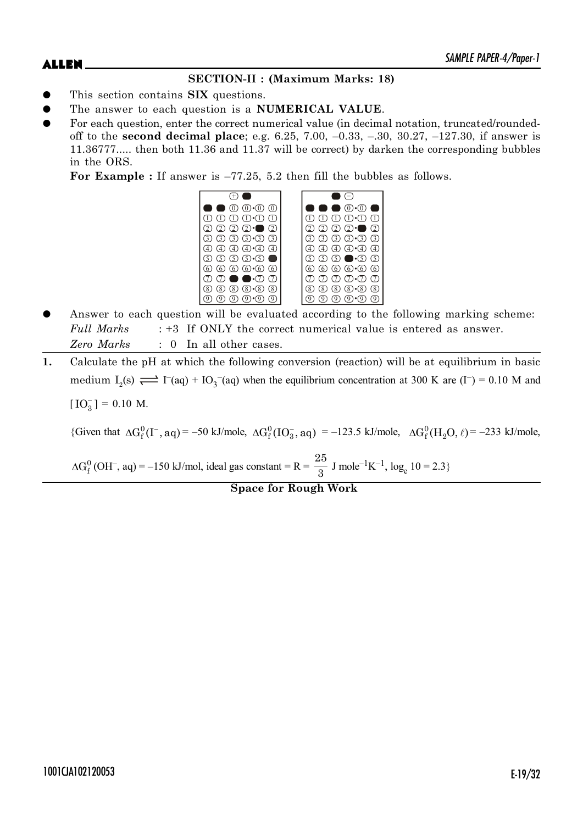# **SECTION-II : (Maximum Marks: 18)**

- This section contains **SIX** questions.
- The answer to each question is a **NUMERICAL VALUE**.
- For each question, enter the correct numerical value (in decimal notation, truncated/roundedoff to the **second decimal place**; e.g. 6.25, 7.00, –0.33, –.30, 30.27, –127.30, if answer is 11.36777..... then both 11.36 and 11.37 will be correct) by darken the corresponding bubbles in the ORS.

**For Example :** If answer is –77.25, 5.2 then fill the bubbles as follows.



- Answer to each question will be evaluated according to the following marking scheme: *Full Marks* : +3 If ONLY the correct numerical value is entered as answer. *Zero Marks* : 0 In all other cases.
- **1.** Calculate the pH at which the following conversion (reaction) will be at equilibrium in basic medium  $I_2(s) \rightleftharpoons I^-(aq) + IO_3^-(aq)$  when the equilibrium concentration at 300 K are  $(I^-) = 0.10$  M and  $[IO<sub>3</sub><sup>-</sup>] = 0.10 M.$

{Given that  $\Delta G_f^0(I^-,aq) = -50 \text{ kJ/mole}, \ \Delta G_f^0(IO_3^-,aq) = -123.5 \text{ kJ/mole}, \ \Delta G_f^0(H_2O,\ell) = -233 \text{ kJ/mole},$ 

 $\Delta G_f^0$  (OH<sup>-</sup>, aq) = -150 kJ/mol, ideal gas constant = R = 25  $\frac{25}{3}$  J mole<sup>-1</sup>K<sup>-1</sup>, log<sub>e</sub> 10 = 2.3}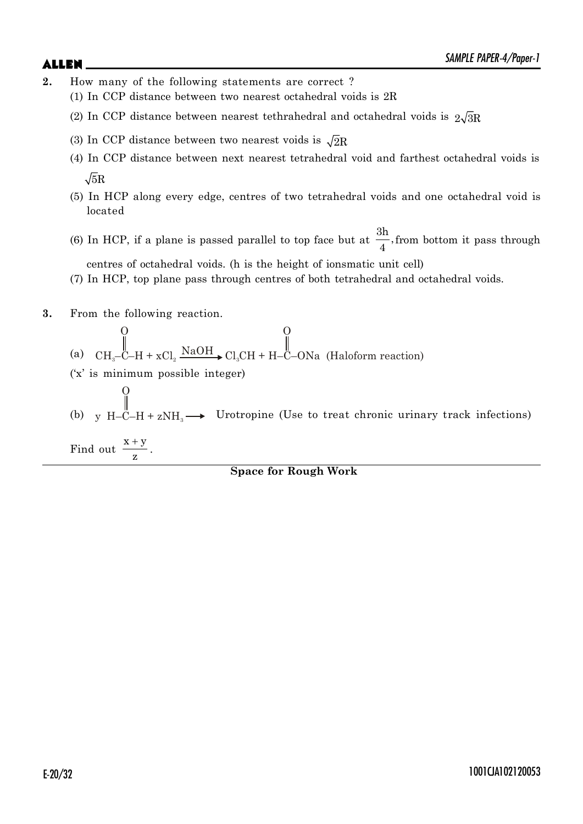- **2.** How many of the following statements are correct ?
	- (1) In CCP distance between two nearest octahedral voids is 2R
	- (2) In CCP distance between nearest tethrahedral and octahedral voids is  $2\sqrt{3}R$
	- (3) In CCP distance between two nearest voids is  $\sqrt{2}R$
	- (4) In CCP distance between next nearest tetrahedral void and farthest octahedral voids is  $\sqrt{5}R$
	- (5) In HCP along every edge, centres of two tetrahedral voids and one octahedral void is located
	- (6) In HCP, if a plane is passed parallel to top face but at  $\frac{3h}{4}$ ,  $\frac{4}{4}$ , from bottom it pass through centres of octahedral voids. (h is the height of ionsmatic unit cell)
	- (7) In HCP, top plane pass through centres of both tetrahedral and octahedral voids.
- **3.** From the following reaction.

O

- (a) O  $\text{CH}_3$ -C-H + xCl<sub>2</sub>  $\frac{\text{NaOH}}{}$  Cl<sub>3</sub>CH + H-C-ONa (Haloform reaction) O
- ('x' is minimum possible integer)
- (b) y  $H-\ddot{C}-H + zNH_3$ Urotropine (Use to treat chronic urinary track infections)

Find out  $x + y$ z  $^{+}$ .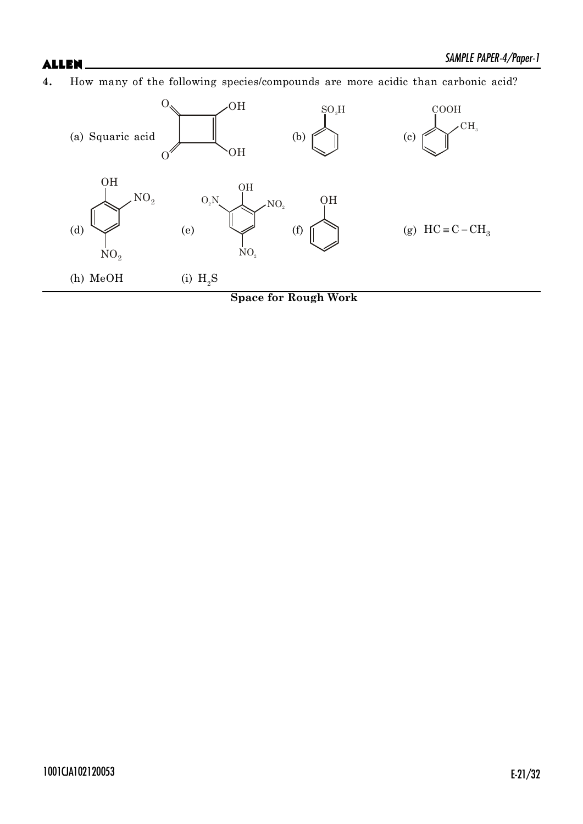**4.** How many of the following species/compounds are more acidic than carbonic acid?

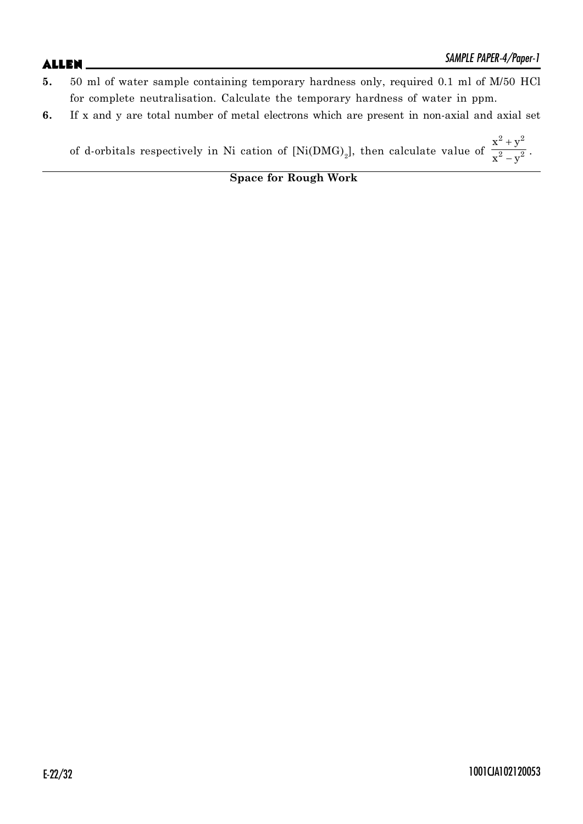- **5.** 50 ml of water sample containing temporary hardness only, required 0.1 ml of M/50 HCl for complete neutralisation. Calculate the temporary hardness of water in ppm.
- **6.** If x and y are total number of metal electrons which are present in non-axial and axial set

of d-orbitals respectively in Ni cation of  $[Ni(DMG)_2]$ , then calculate value of  $2^{11}$ 2  $\sqrt{2}$  $x^2 + y$  $x^2 - y$  $\overline{+}$  $\frac{y}{-y^2}$ .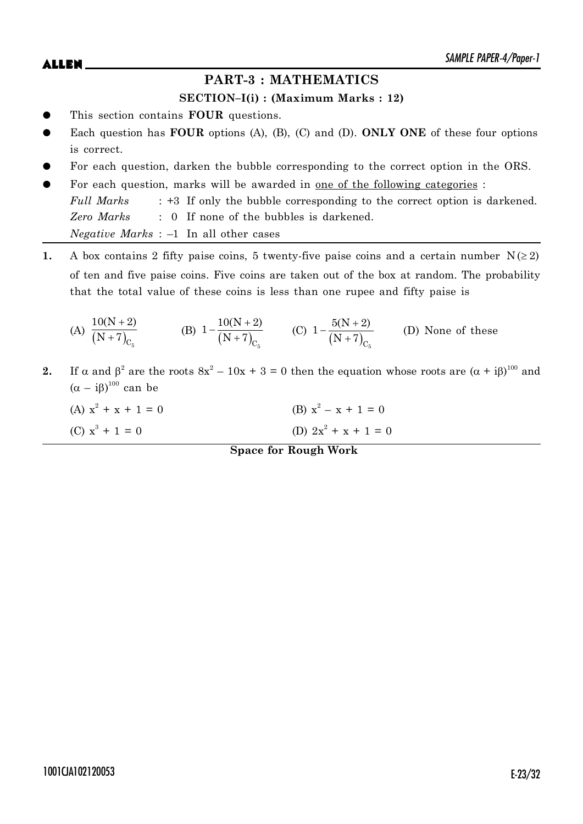$ALLEN$   $\qquad \qquad$   $\qquad \qquad$   $\qquad \qquad$   $\qquad \qquad$   $\qquad \qquad$   $\qquad \qquad$   $\qquad \qquad$   $\qquad \qquad$   $\qquad \qquad$   $\qquad \qquad$   $\qquad \qquad$   $\qquad \qquad$   $\qquad \qquad$   $\qquad \qquad$   $\qquad \qquad$   $\qquad \qquad$   $\qquad \qquad$   $\qquad \qquad$   $\qquad \qquad$   $\qquad \qquad$   $\qquad \qquad$   $\qquad \qquad$   $\qquad \qquad$   $\qquad \qquad$ 

# **PART-3 : MATHEMATICS**

# **SECTION–I(i) : (Maximum Marks : 12)**

- This section contains **FOUR** questions.
- Each question has **FOUR** options (A), (B), (C) and (D). **ONLY ONE** of these four options is correct.
- For each question, darken the bubble corresponding to the correct option in the ORS.
- For each question, marks will be awarded in one of the following categories : *Full Marks* : +3 If only the bubble corresponding to the correct option is darkened. *Zero Marks* : 0 If none of the bubbles is darkened. *Negative Marks* : –1 In all other cases
- **1.** A box contains 2 fifty paise coins, 5 twenty-five paise coins and a certain number  $N(\geq 2)$ of ten and five paise coins. Five coins are taken out of the box at random. The probability that the total value of these coins is less than one rupee and fifty paise is

(A) 
$$
\frac{10(N+2)}{(N+7)_{C_5}}
$$
 (B)  $1 - \frac{10(N+2)}{(N+7)_{C_5}}$  (C)  $1 - \frac{5(N+2)}{(N+7)_{C_5}}$  (D) None of these

- **2.** If  $\alpha$  and  $\beta^2$  are the roots  $8x^2 10x + 3 = 0$  then the equation whose roots are  $(\alpha + i\beta)^{100}$  and  $(\alpha - i\beta)^{100}$  can be
	- (A)  $x^2 + x + 1 = 0$  (B)  $x^2$ (B)  $x^2 - x + 1 = 0$ (C)  $x^3 + 1 = 0$  (D)  $2x^2$ (D)  $2x^2 + x + 1 = 0$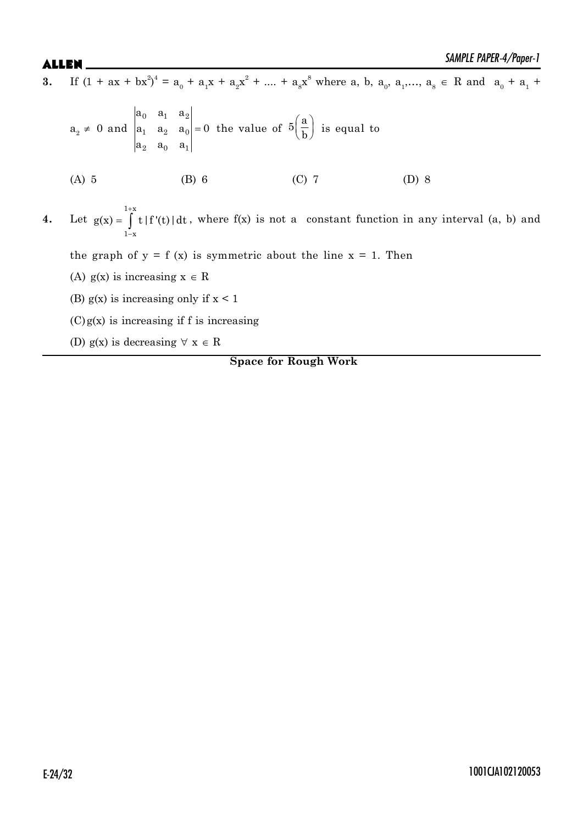**3.** If  $(1 + ax + bx^2)^4 = a_0 + a_1x + a_2x^2 + \dots + a_8x^8$  where a, b,  $a_0$ ,  $a_1$ ,  $a_3 \in \mathbb{R}$  and  $a_0 + a_1$ 

$$
a_2 \neq 0 \text{ and } \begin{vmatrix} a_0 & a_1 & a_2 \\ a_1 & a_2 & a_0 \\ a_2 & a_0 & a_1 \end{vmatrix} = 0 \text{ the value of } 5\left(\frac{a}{b}\right) \text{ is equal to}
$$
\n(A) 5 \t(B) 6 \t(C) 7 \t(D) 8  
\n4. Let  $g(x) = \int_{1-x}^{1+x} t |f'(t)| dt$ , where  $f(x)$  is not a constant function in any interval (a, b) and the graph of  $y = f(x)$  is symmetric about the line  $y = 1$ . Then

the graph of  $y = f(x)$  is symmetric about the line  $x = 1$ . Then

- (A)  $g(x)$  is increasing  $x \in R$
- (B)  $g(x)$  is increasing only if  $x < 1$
- $(C)g(x)$  is increasing if f is increasing
- (D)  $g(x)$  is decreasing  $\forall x \in R$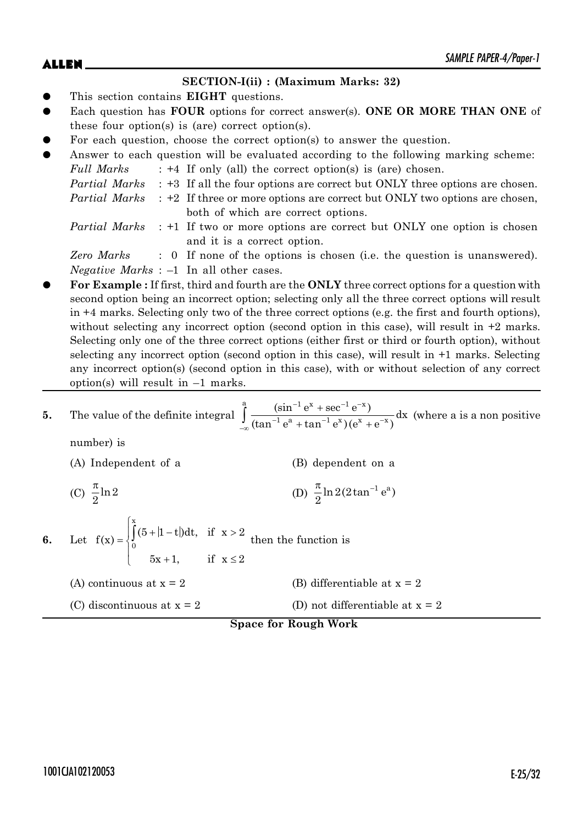# $ALLEN$   $\qquad \qquad$   $\qquad \qquad$   $\qquad \qquad$   $\qquad \qquad$   $\qquad \qquad$   $\qquad \qquad$   $\qquad \qquad$   $\qquad \qquad$   $\qquad \qquad$   $\qquad \qquad$   $\qquad \qquad$   $\qquad \qquad$   $\qquad \qquad$   $\qquad \qquad$   $\qquad \qquad$   $\qquad \qquad$   $\qquad \qquad$   $\qquad \qquad$   $\qquad \qquad$   $\qquad \qquad$   $\qquad \qquad$   $\qquad \qquad$   $\qquad \qquad$   $\qquad \qquad$

### **SECTION-I(ii) : (Maximum Marks: 32)**

- This section contains **EIGHT** questions.
- Each question has **FOUR** options for correct answer(s). **ONE OR MORE THAN ONE** of these four option(s) is (are) correct option(s).
- For each question, choose the correct option(s) to answer the question.

| $\bullet$ |               | Answer to each question will be evaluated according to the following marking scheme:             |
|-----------|---------------|--------------------------------------------------------------------------------------------------|
|           | Full Marks    | $: +4$ If only (all) the correct option(s) is (are) chosen.                                      |
|           |               | <i>Partial Marks</i> : +3 If all the four options are correct but ONLY three options are chosen. |
|           | Partial Marks | $\div$ +2 If three or more options are correct but ONLY two options are chosen,                  |
|           |               | both of which are correct options.                                                               |
|           |               | <i>Partial Marks</i> : +1 If two or more options are correct but ONLY one option is chosen       |
|           |               | and it is a correct option.                                                                      |
|           | Zero Marks    | : 0 If none of the options is chosen (i.e. the question is unanswered).                          |

*Negative Marks* : –1 In all other cases.

z **For Example :** If first, third and fourth are the **ONLY** three correct options for a question with second option being an incorrect option; selecting only all the three correct options will result in +4 marks. Selecting only two of the three correct options (e.g. the first and fourth options), without selecting any incorrect option (second option in this case), will result in  $+2$  marks. Selecting only one of the three correct options (either first or third or fourth option), without selecting any incorrect option (second option in this case), will result in +1 marks. Selecting any incorrect option(s) (second option in this case), with or without selection of any correct option(s) will result in  $-1$  marks.

5. The value of the definite integral 
$$
\int_{-\infty}^{a} \frac{(\sin^{-1} e^{x} + \sec^{-1} e^{-x})}{(\tan^{-1} e^{a} + \tan^{-1} e^{x})(e^{x} + e^{-x})} dx
$$
 (where a is a non positive number) is

| (A) Independent of a     | (B) dependent on a                                           |
|--------------------------|--------------------------------------------------------------|
| (C) $\frac{\pi}{2}$ ln 2 | (D) $\frac{\pi}{2}$ ln 2(2tan <sup>-1</sup> e <sup>a</sup> ) |

6. Let 
$$
f(x) = \begin{cases} \int_{0}^{x} (5+|1-t|)dt, & \text{if } x > 2 \\ 0 & 5x+1, \end{cases}
$$
 then the function is

- (A) continuous at  $x = 2$  (B) differentiable at  $x = 2$
- (C) discontinuous at  $x = 2$  (D) not differentiable at  $x = 2$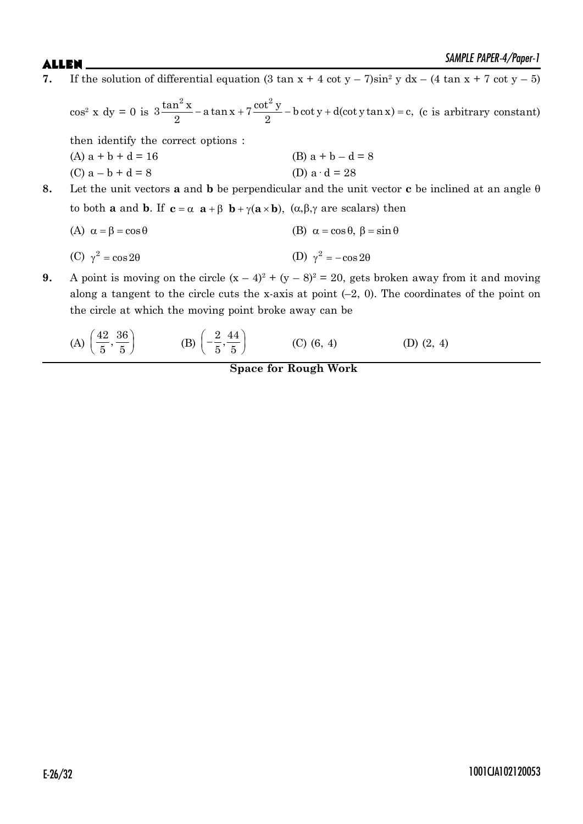**7.** If the solution of differential equation  $(3 \tan x + 4 \cot y - 7) \sin^2 y \ dx - (4 \tan x + 7 \cot y - 5)$ 

 $\cos^2 x \, dy = 0$  is  $3 \frac{\tan^2 x}{2} - a \tan x + 7 \frac{\cot^2 y}{2} - b \cot y + d(\cot y \tan x) = c$ ,  $\frac{d^2x}{2}$  – a tan x + 7  $\frac{2(3x-1)}{2}$  – b cot y + d(cot y tan x) = c, (c is arbitrary constant) then identify the correct options : (A)  $a + b + d = 16$  (B)  $a + b - d = 8$ (C)  $a - b + d = 8$  (D)  $a \cdot d = 28$ **8.** Let the unit vectors **a** and **b** be perpendicular and the unit vector **c** be inclined at an angle  $\theta$ to both **a** and **b**. If  $c = \alpha$  **a** +  $\beta$  **b** +  $\gamma$ (**a**  $\times$ **b**), ( $\alpha$ , $\beta$ , $\gamma$  are scalars) then (A)  $\alpha = \beta = \cos \theta$  (B)  $\alpha = \cos \theta$ ,  $\beta = \sin \theta$ (C)  $\gamma^2 = \cos 2\theta$  $\cos 2\theta$  (D)  $\gamma^2 = -\cos 2\theta$ 

**9.** A point is moving on the circle  $(x - 4)^2 + (y - 8)^2 = 20$ , gets broken away from it and moving along a tangent to the circle cuts the x-axis at point  $(-2, 0)$ . The coordinates of the point on the circle at which the moving point broke away can be

(A) 
$$
\left(\frac{42}{5}, \frac{36}{5}\right)
$$
 (B)  $\left(-\frac{2}{5}, \frac{44}{5}\right)$  (C) (6, 4) (D) (2, 4)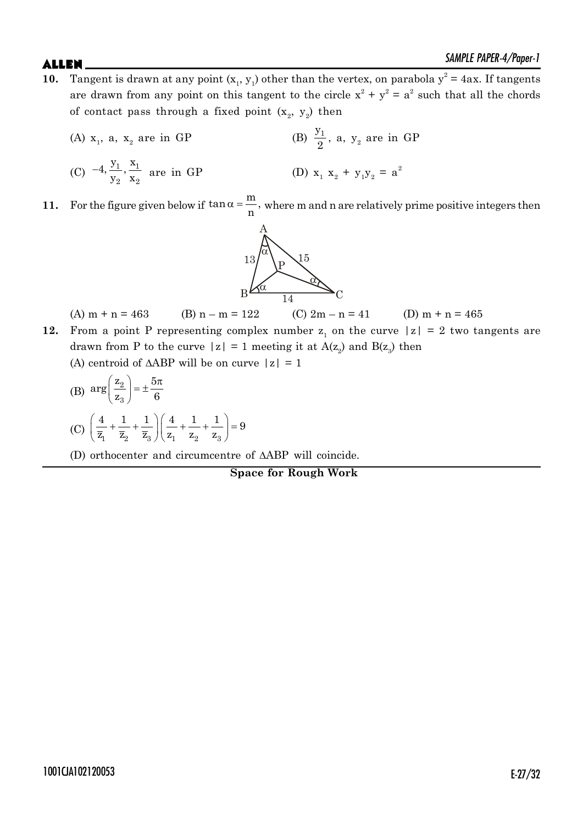- **10.** Tangent is drawn at any point  $(x_1, y_1)$  other than the vertex, on parabola  $y^2 = 4ax$ . If tangents are drawn from any point on this tangent to the circle  $x^2 + y^2 = a^2$  such that all the chords of contact pass through a fixed point  $(x_2, y_2)$  then
	- (A)  $x_1$ , a,  $x_2$  are in GP (B)  $y_1$  $\frac{y_1}{2}$ , a,  $y_2$  are in GP  $(C)$   $-4, \frac{y_1}{y_1}, \frac{x_1}{y_1}$ 2  $\mathbf{v}_2$  $4, \frac{y_1}{\cdot \cdot \cdot}$ ,  $\frac{x}{\cdot \cdot \cdot}$  $-4, \frac{y_1}{y_2}, \frac{x_1}{x_2}$  are in GP (D)  $x_1$  $x_2 + y_1y_2 = a^2$
- **11.** For the figure given below if  $\tan \alpha = \frac{m}{n}$ ,  $\frac{m}{n}$ , where m and n are relatively prime positive integers then



(A)  $m + n = 463$  (B)  $n - m = 122$  (C)  $2m - n = 41$  (D)  $m + n = 465$ 

- **12.** From a point P representing complex number  $z_1$  on the curve  $|z| = 2$  two tangents are drawn from P to the curve  $|z| = 1$  meeting it at  $A(z_2)$  and  $B(z_3)$  then
	- (A) centroid of  $\triangle ABP$  will be on curve  $|z| = 1$
	- (B)  $\arg\left(\frac{z_2}{z_3}\right)$  $\arg\left(\frac{z_2}{z}\right) = \pm \frac{5}{z}$  $z_3$ ) 6  $\left(\frac{z_2}{z_3}\right) = \pm \frac{5\pi}{6}$ (C)  $\left(\frac{1}{\overline{z}_1} + \frac{1}{\overline{z}_2} + \frac{1}{\overline{z}_3}\right)\left(\frac{1}{z_1} + \frac{1}{z_2} + \frac{1}{z_3}\right)$  $\frac{4}{1} + \frac{1}{1} + \frac{1}{1}$  $\left(\frac{4}{1} + \frac{1}{1} + \frac{1}{1}\right) = 9$  $\overline{z}_1$   $\overline{z}_2$   $\overline{z}_3$   $\vert z_1$   $z_2$   $z_3$  $\left(\frac{4}{\overline{z}_1} + \frac{1}{\overline{z}_2} + \frac{1}{\overline{z}_3}\right)\left(\frac{4}{z_1} + \frac{1}{z_2} + \frac{1}{z_3}\right) = 9$
	- (D) orthocenter and circumcentre of  $\triangle$ ABP will coincide.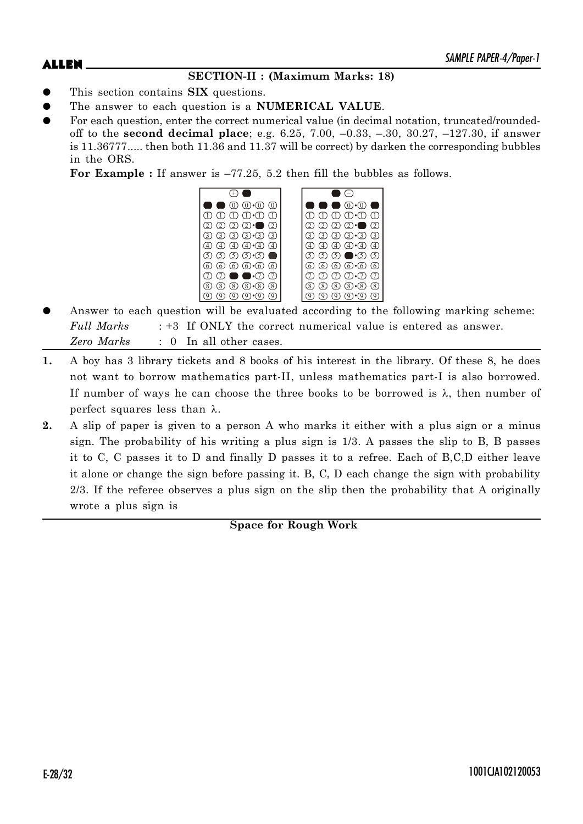# **SECTION-II : (Maximum Marks: 18)**

- This section contains **SIX** questions.
- The answer to each question is a **NUMERICAL VALUE**.
- For each question, enter the correct numerical value (in decimal notation, truncated/roundedoff to the **second decimal place**; e.g. 6.25, 7.00, –0.33, –.30, 30.27, –127.30, if answer is 11.36777..... then both 11.36 and 11.37 will be correct) by darken the corresponding bubbles in the ORS.

**For Example :** If answer is –77.25, 5.2 then fill the bubbles as follows.



- Answer to each question will be evaluated according to the following marking scheme: *Full Marks* : +3 If ONLY the correct numerical value is entered as answer. *Zero Marks* : 0 In all other cases.
- **1.** A boy has 3 library tickets and 8 books of his interest in the library. Of these 8, he does not want to borrow mathematics part-II, unless mathematics part-I is also borrowed. If number of ways he can choose the three books to be borrowed is  $\lambda$ , then number of perfect squares less than  $\lambda$ .
- **2.** A slip of paper is given to a person A who marks it either with a plus sign or a minus sign. The probability of his writing a plus sign is 1/3. A passes the slip to B, B passes it to C, C passes it to D and finally D passes it to a refree. Each of B,C,D either leave it alone or change the sign before passing it. B, C, D each change the sign with probability 2/3. If the referee observes a plus sign on the slip then the probability that A originally wrote a plus sign is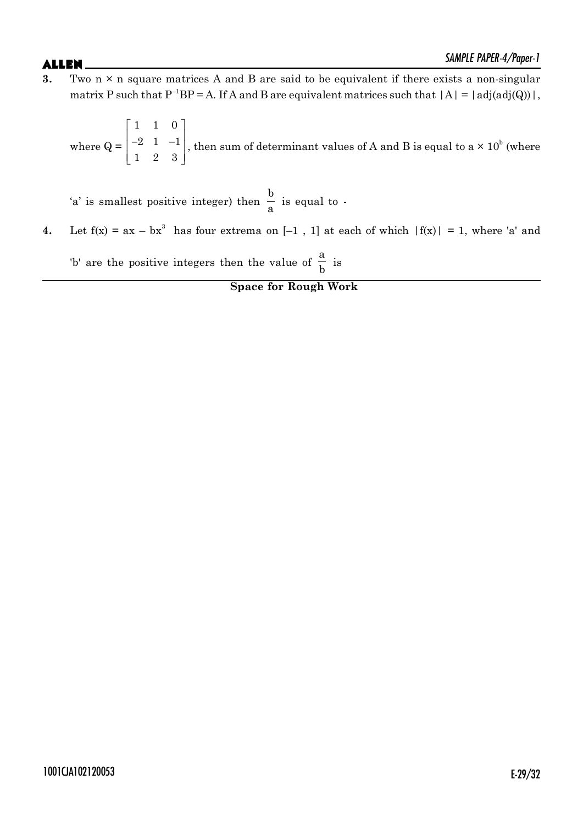**3.** Two n × n square matrices A and B are said to be equivalent if there exists a non-singular matrix P such that  $P^{-1}BP = A$ . If A and B are equivalent matrices such that  $|A| = |adj(adj(Q))|$ ,

where  $Q =$ 110 2 1  $-1$ 123  $\begin{array}{|c|c|c|c|c|} \hline 1 & 1 & 0 \end{array}$  $\begin{vmatrix} -2 & 1 & -1 \end{vmatrix}$  $\begin{bmatrix} 1 & 2 & 3 \end{bmatrix}$ , then sum of determinant values of A and B is equal to a  $\times$  10<sup>b</sup> (where

'a' is smallest positive integer) then b  $\frac{a}{a}$  is equal to -

**4.** Let  $f(x) = ax - bx^3$  has four extrema on  $[-1, 1]$  at each of which  $|f(x)| = 1$ , where 'a' and

'b' are the positive integers then the value of a  $\frac{a}{b}$  is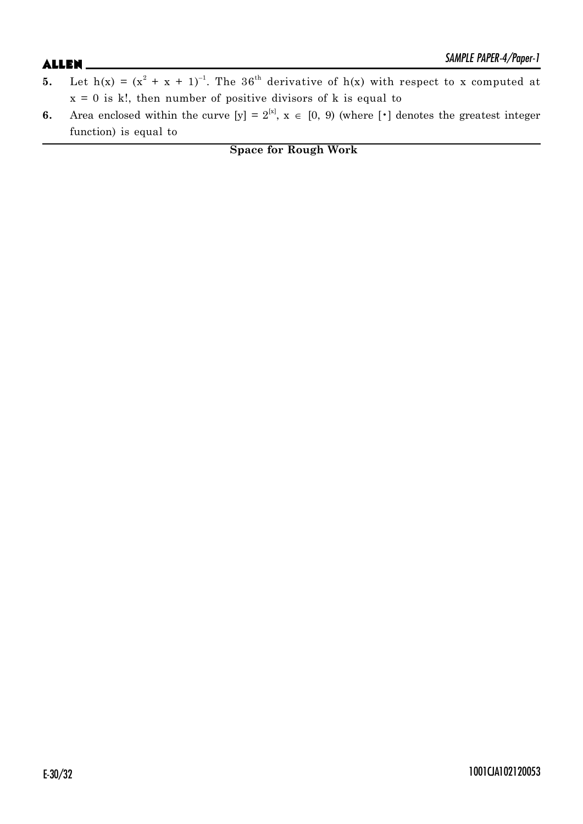- **5.** Let  $h(x) = (x^2 + x + 1)^{-1}$ . The 36<sup>th</sup> derivative of  $h(x)$  with respect to x computed at  $x = 0$  is k!, then number of positive divisors of k is equal to
- **6.** Area enclosed within the curve  $[y] = 2^{[x]}$ ,  $x \in [0, 9)$  (where  $[\cdot]$  denotes the greatest integer function) is equal to